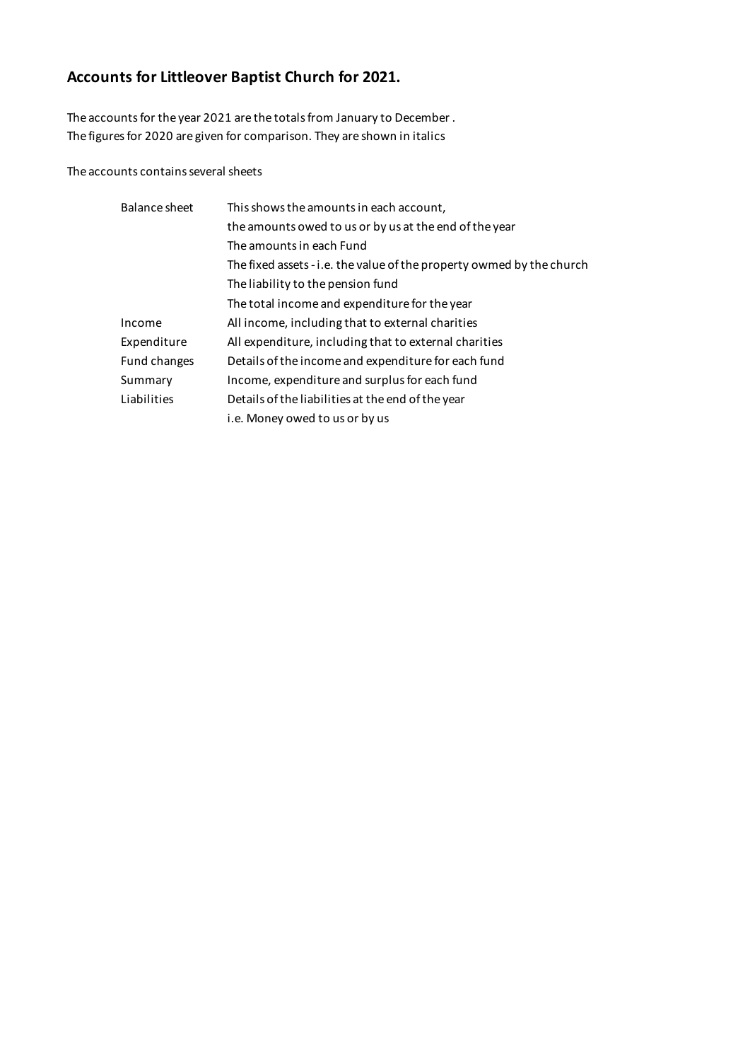# **Accounts for Littleover Baptist Church for 2021.**

The accounts for the year 2021 are the totals from January to December . The figures for 2020 are given for comparison. They are shown in italics

The accounts contains several sheets

| Balance sheet | This shows the amounts in each account,                               |
|---------------|-----------------------------------------------------------------------|
|               | the amounts owed to us or by us at the end of the year                |
|               | The amounts in each Fund                                              |
|               | The fixed assets - i.e. the value of the property owmed by the church |
|               | The liability to the pension fund                                     |
|               | The total income and expenditure for the year                         |
| Income        | All income, including that to external charities                      |
| Expenditure   | All expenditure, including that to external charities                 |
| Fund changes  | Details of the income and expenditure for each fund                   |
| Summary       | Income, expenditure and surplus for each fund                         |
| Liabilities   | Details of the liabilities at the end of the year                     |
|               | i.e. Money owed to us or by us                                        |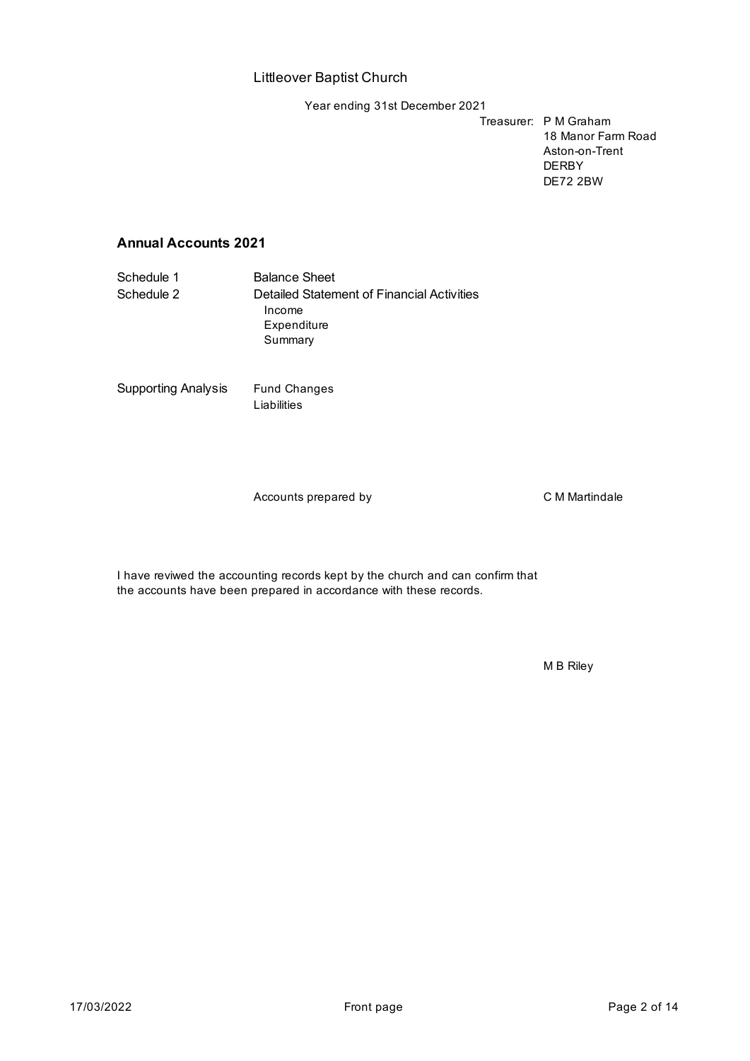Year ending 31st December 2021

Treasurer: P M Graham 18 Manor Farm Road Aston-on-Trent DERBY DE72 2BW

### **Annual Accounts 2021**

Schedule 1 Balance Sheet Schedule 2 Detailed Statement of Financial Activities Income Expenditure Summary

Supporting Analysis Fund Changes

Liabilities

Accounts prepared by CMMartindale

I have reviwed the accounting records kept by the church and can confirm that the accounts have been prepared in accordance with these records.

M B Riley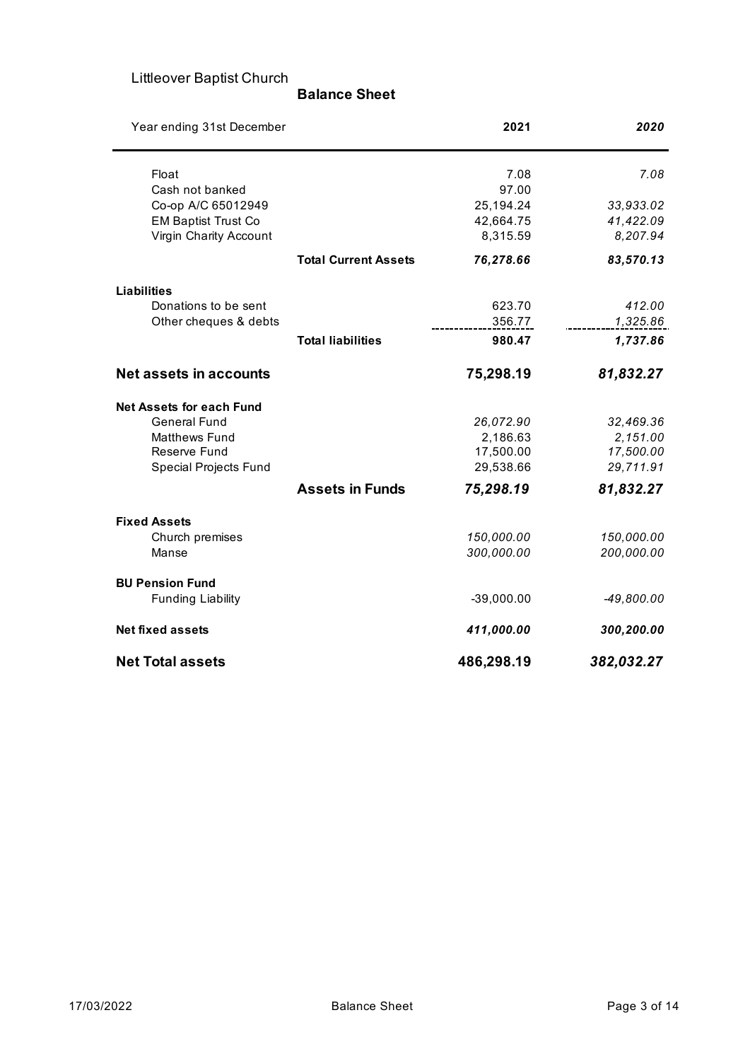#### **Balance Sheet**

| Year ending 31st December       |                             | 2021         | 2020         |
|---------------------------------|-----------------------------|--------------|--------------|
| Float                           |                             | 7.08         | 7.08         |
| Cash not banked                 |                             | 97.00        |              |
| Co-op A/C 65012949              |                             | 25,194.24    | 33,933.02    |
| <b>EM Baptist Trust Co</b>      |                             | 42,664.75    | 41,422.09    |
| Virgin Charity Account          |                             | 8,315.59     | 8,207.94     |
|                                 | <b>Total Current Assets</b> | 76,278.66    | 83,570.13    |
| <b>Liabilities</b>              |                             |              |              |
| Donations to be sent            |                             | 623.70       | 412.00       |
| Other cheques & debts           |                             | 356.77       | 1,325.86     |
|                                 | <b>Total liabilities</b>    | 980.47       | 1,737.86     |
| <b>Net assets in accounts</b>   |                             | 75,298.19    | 81,832.27    |
| <b>Net Assets for each Fund</b> |                             |              |              |
| <b>General Fund</b>             |                             | 26,072.90    | 32,469.36    |
| <b>Matthews Fund</b>            |                             | 2,186.63     | 2,151.00     |
| Reserve Fund                    |                             | 17,500.00    | 17,500.00    |
| <b>Special Projects Fund</b>    |                             | 29,538.66    | 29,711.91    |
|                                 | <b>Assets in Funds</b>      | 75,298.19    | 81,832.27    |
| <b>Fixed Assets</b>             |                             |              |              |
| Church premises                 |                             | 150,000.00   | 150,000.00   |
| Manse                           |                             | 300,000.00   | 200,000.00   |
| <b>BU Pension Fund</b>          |                             |              |              |
| <b>Funding Liability</b>        |                             | $-39,000.00$ | $-49,800.00$ |
| <b>Net fixed assets</b>         |                             | 411,000.00   | 300,200.00   |
| <b>Net Total assets</b>         |                             | 486,298.19   | 382,032.27   |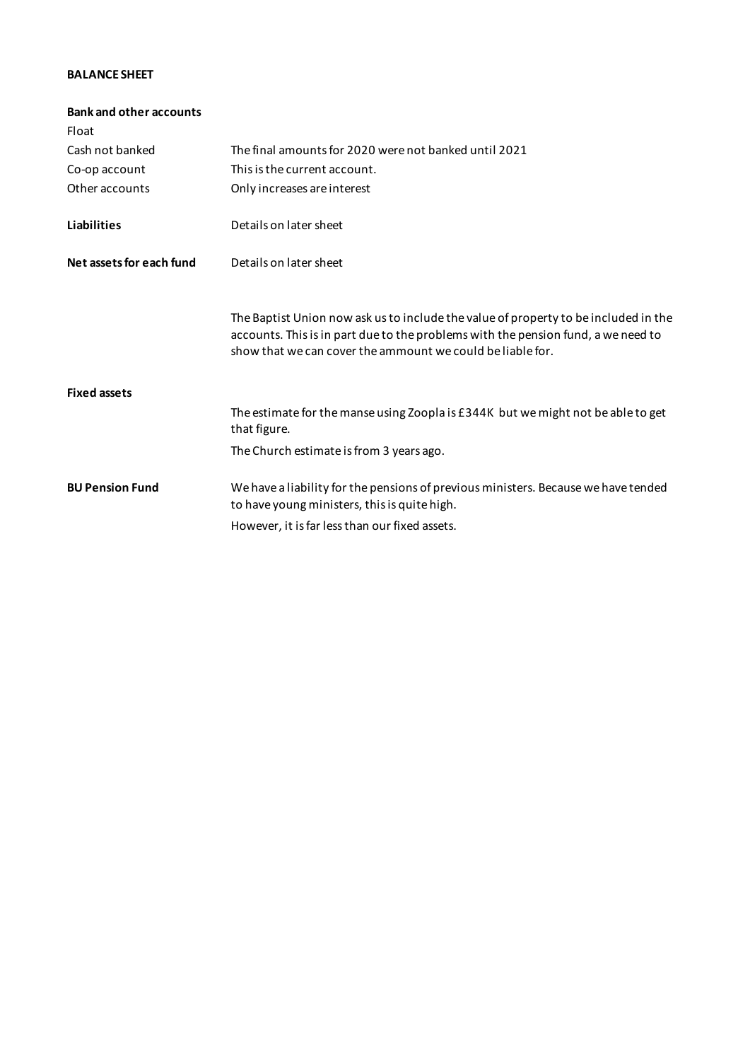#### **BALANCE SHEET**

| The final amounts for 2020 were not banked until 2021                                                                                                                                                                                  |
|----------------------------------------------------------------------------------------------------------------------------------------------------------------------------------------------------------------------------------------|
| This is the current account.                                                                                                                                                                                                           |
| Only increases are interest                                                                                                                                                                                                            |
| Details on later sheet                                                                                                                                                                                                                 |
| Details on later sheet                                                                                                                                                                                                                 |
| The Baptist Union now ask us to include the value of property to be included in the<br>accounts. This is in part due to the problems with the pension fund, a we need to<br>show that we can cover the ammount we could be liable for. |
|                                                                                                                                                                                                                                        |
| The estimate for the manse using Zoopla is £344K but we might not be able to get<br>that figure.                                                                                                                                       |
| The Church estimate is from 3 years ago.                                                                                                                                                                                               |
| We have a liability for the pensions of previous ministers. Because we have tended<br>to have young ministers, this is quite high.                                                                                                     |
| However, it is far less than our fixed assets.                                                                                                                                                                                         |
|                                                                                                                                                                                                                                        |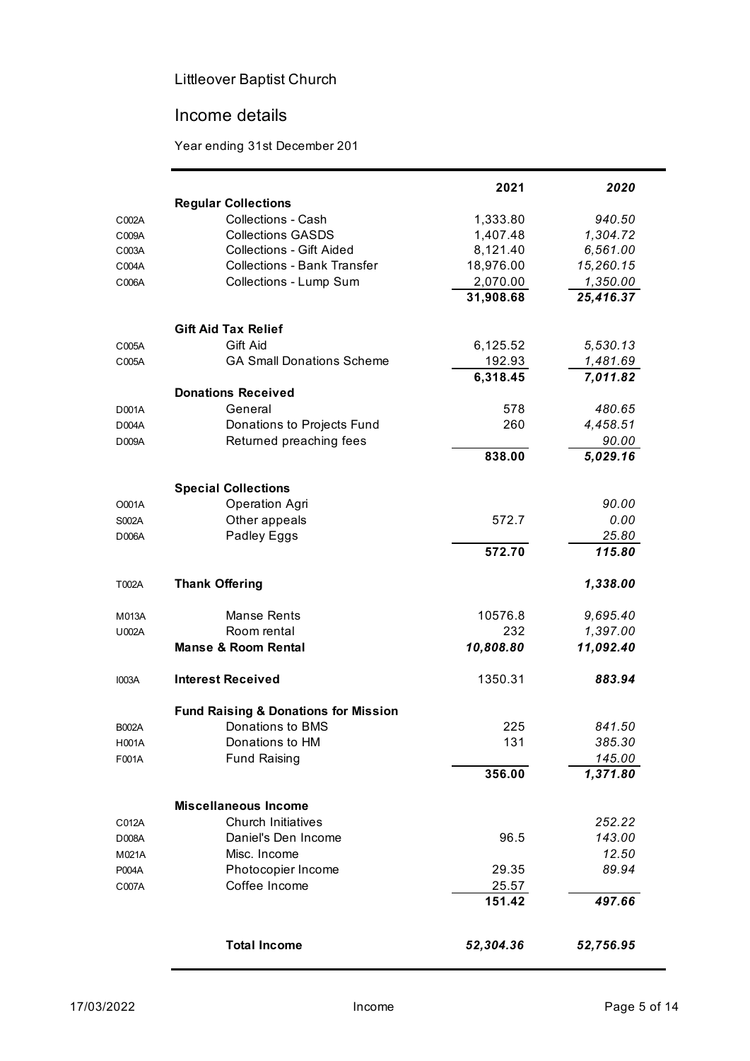## Income details

Year ending 31st December 201

|              |                                                 | 2021      | 2020      |
|--------------|-------------------------------------------------|-----------|-----------|
|              | <b>Regular Collections</b>                      |           |           |
| C002A        | <b>Collections - Cash</b>                       | 1,333.80  | 940.50    |
| C009A        | <b>Collections GASDS</b>                        | 1,407.48  | 1,304.72  |
| C003A        | <b>Collections - Gift Aided</b>                 | 8,121.40  | 6,561.00  |
| C004A        | <b>Collections - Bank Transfer</b>              | 18,976.00 | 15,260.15 |
| C006A        | Collections - Lump Sum                          | 2,070.00  | 1,350.00  |
|              |                                                 | 31,908.68 | 25,416.37 |
|              | <b>Gift Aid Tax Relief</b>                      |           |           |
| C005A        | Gift Aid                                        | 6,125.52  | 5,530.13  |
| C005A        | <b>GA Small Donations Scheme</b>                | 192.93    | 1,481.69  |
|              |                                                 | 6,318.45  | 7,011.82  |
|              | <b>Donations Received</b>                       |           |           |
| D001A        | General                                         | 578       | 480.65    |
| D004A        | Donations to Projects Fund                      | 260       | 4,458.51  |
| D009A        | Returned preaching fees                         |           | 90.00     |
|              |                                                 | 838.00    | 5,029.16  |
|              | <b>Special Collections</b>                      |           |           |
| O001A        | Operation Agri                                  |           | 90.00     |
| S002A        | Other appeals                                   | 572.7     | 0.00      |
| D006A        | Padley Eggs                                     |           | 25.80     |
|              |                                                 | 572.70    | 115.80    |
| T002A        | <b>Thank Offering</b>                           |           | 1,338.00  |
| M013A        | Manse Rents                                     | 10576.8   | 9,695.40  |
| U002A        | Room rental                                     | 232       | 1,397.00  |
|              | <b>Manse &amp; Room Rental</b>                  | 10,808.80 | 11,092.40 |
| <b>I003A</b> | <b>Interest Received</b>                        | 1350.31   | 883.94    |
|              | <b>Fund Raising &amp; Donations for Mission</b> |           |           |
| <b>B002A</b> | Donations to BMS                                | 225       | 841.50    |
| H001A        | Donations to HM                                 | 131       | 385.30    |
| F001A        | <b>Fund Raising</b>                             |           | 145.00    |
|              |                                                 | 356.00    | 1,371.80  |
|              |                                                 |           |           |
|              | <b>Miscellaneous Income</b>                     |           |           |
| C012A        | <b>Church Initiatives</b>                       |           | 252.22    |
| D008A        | Daniel's Den Income                             | 96.5      | 143.00    |
| M021A        | Misc. Income                                    |           | 12.50     |
| P004A        | Photocopier Income                              | 29.35     | 89.94     |
| C007A        | Coffee Income                                   | 25.57     |           |
|              |                                                 | 151.42    | 497.66    |
|              |                                                 |           |           |
|              | <b>Total Income</b>                             | 52,304.36 | 52,756.95 |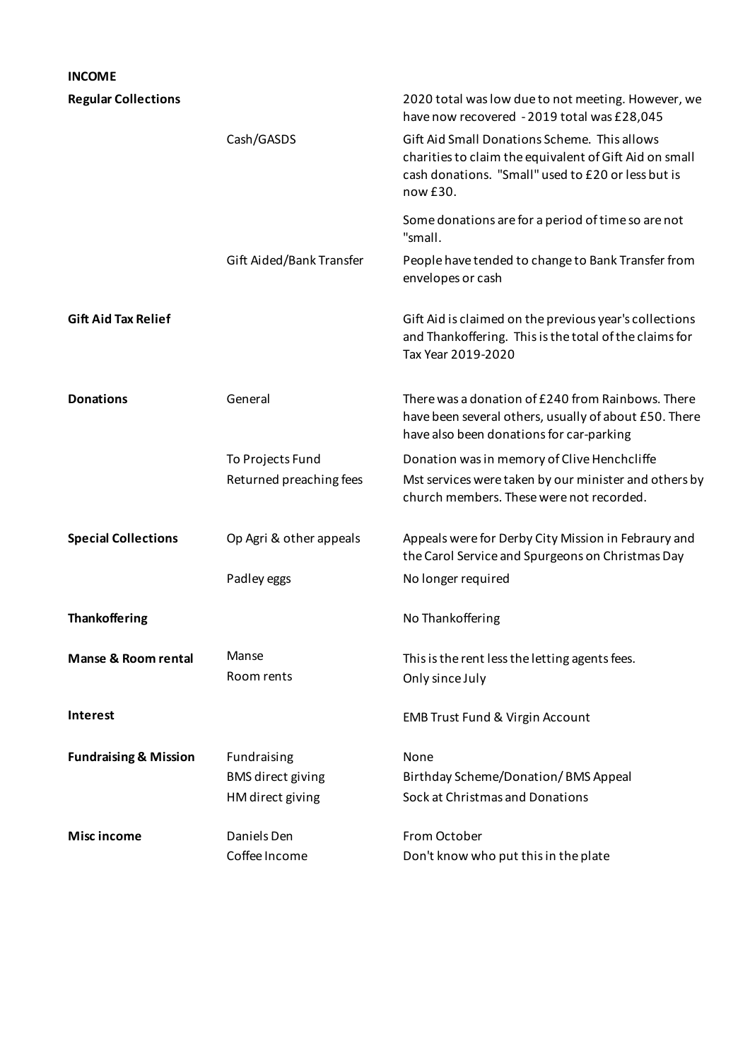| <b>INCOME</b>                    |                                                             |                                                                                                                                                                          |
|----------------------------------|-------------------------------------------------------------|--------------------------------------------------------------------------------------------------------------------------------------------------------------------------|
| <b>Regular Collections</b>       |                                                             | 2020 total was low due to not meeting. However, we<br>have now recovered - 2019 total was £28,045                                                                        |
|                                  | Cash/GASDS                                                  | Gift Aid Small Donations Scheme. This allows<br>charities to claim the equivalent of Gift Aid on small<br>cash donations. "Small" used to £20 or less but is<br>now £30. |
|                                  |                                                             | Some donations are for a period of time so are not<br>"small.                                                                                                            |
|                                  | Gift Aided/Bank Transfer                                    | People have tended to change to Bank Transfer from<br>envelopes or cash                                                                                                  |
| <b>Gift Aid Tax Relief</b>       |                                                             | Gift Aid is claimed on the previous year's collections<br>and Thankoffering. This is the total of the claims for<br>Tax Year 2019-2020                                   |
| <b>Donations</b>                 | General                                                     | There was a donation of £240 from Rainbows. There<br>have been several others, usually of about £50. There<br>have also been donations for car-parking                   |
|                                  | To Projects Fund<br>Returned preaching fees                 | Donation was in memory of Clive Henchcliffe<br>Mst services were taken by our minister and others by<br>church members. These were not recorded.                         |
| <b>Special Collections</b>       | Op Agri & other appeals                                     | Appeals were for Derby City Mission in Febraury and<br>the Carol Service and Spurgeons on Christmas Day                                                                  |
|                                  | Padley eggs                                                 | No longer required                                                                                                                                                       |
| <b>Thankoffering</b>             |                                                             | No Thankoffering                                                                                                                                                         |
| <b>Manse &amp; Room rental</b>   | Manse<br>Room rents                                         | This is the rent less the letting agents fees.<br>Only since July                                                                                                        |
| <b>Interest</b>                  |                                                             | <b>EMB Trust Fund &amp; Virgin Account</b>                                                                                                                               |
| <b>Fundraising &amp; Mission</b> | Fundraising<br><b>BMS</b> direct giving<br>HM direct giving | None<br>Birthday Scheme/Donation/BMS Appeal<br>Sock at Christmas and Donations                                                                                           |
| Misc income                      | Daniels Den<br>Coffee Income                                | From October<br>Don't know who put this in the plate                                                                                                                     |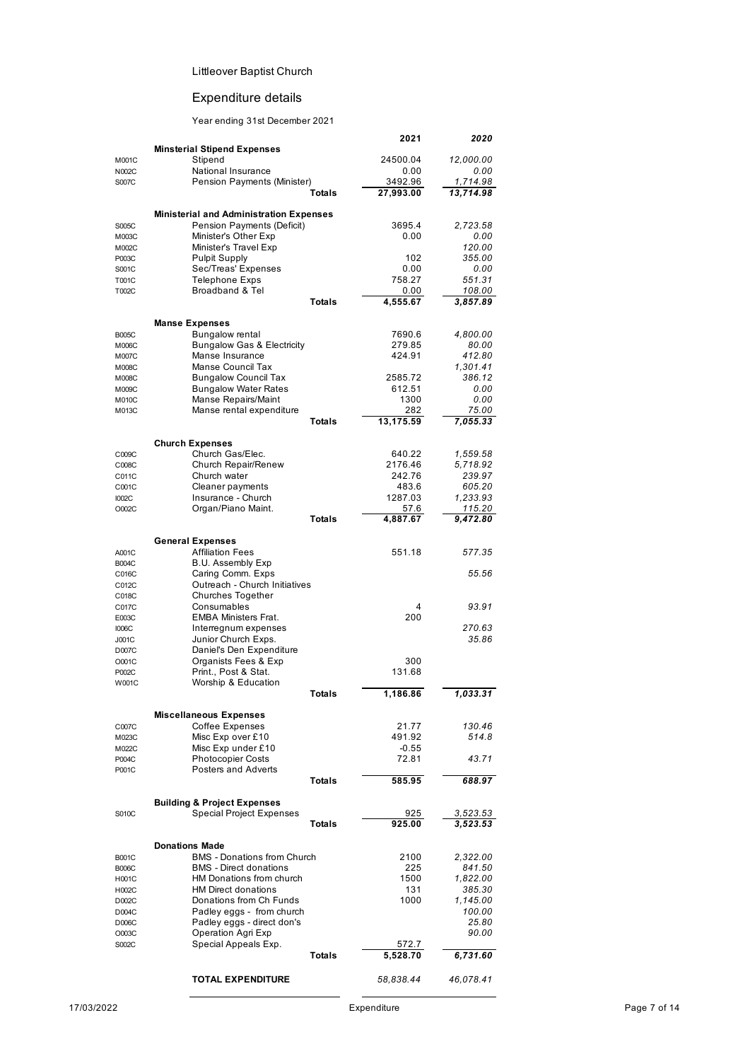## Expenditure details

#### Year ending 31st December 2021

|                |                                                    |               | 2021              | 2020               |
|----------------|----------------------------------------------------|---------------|-------------------|--------------------|
|                | <b>Minsterial Stipend Expenses</b>                 |               |                   |                    |
| M001C          | Stipend                                            |               | 24500.04          | 12,000.00<br>0.00  |
| N002C<br>S007C | National Insurance<br>Pension Payments (Minister)  |               | 0.00<br>3492.96   | 1,714.98           |
|                |                                                    | <b>Totals</b> | 27,993.00         | 13,714.98          |
|                |                                                    |               |                   |                    |
|                | <b>Ministerial and Administration Expenses</b>     |               |                   |                    |
| S005C          | Pension Payments (Deficit)                         |               | 3695.4            | 2,723.58           |
| M003C          | Minister's Other Exp                               |               | 0.00              | 0.00               |
| M002C          | Minister's Travel Exp                              |               |                   | 120.00             |
| P003C          | <b>Pulpit Supply</b>                               |               | 102               | 355.00             |
| S001C          | Sec/Treas' Expenses                                |               | 0.00              | 0.00               |
| T001C          | <b>Telephone Exps</b><br>Broadband & Tel           |               | 758.27            | 551.31             |
| T002C          |                                                    | <b>Totals</b> | 0.00<br>4,555.67  | 108.00<br>3,857.89 |
|                |                                                    |               |                   |                    |
|                | <b>Manse Expenses</b>                              |               |                   |                    |
| <b>B005C</b>   | Bungalow rental                                    |               | 7690.6            | 4,800.00           |
| M006C          | <b>Bungalow Gas &amp; Electricity</b>              |               | 279.85            | 80.00              |
| M007C          | Manse Insurance                                    |               | 424.91            | 412.80             |
| M008C          | Manse Council Tax                                  |               |                   | 1,301.41           |
| M008C          | <b>Bungalow Council Tax</b>                        |               | 2585.72           | 386.12             |
| M009C          | <b>Bungalow Water Rates</b>                        |               | 612.51            | 0.00               |
| M010C          | Manse Repairs/Maint                                |               | 1300              | 0.00               |
| M013C          | Manse rental expenditure                           |               | 282               | 75.00              |
|                |                                                    | <b>Totals</b> | 13,175.59         | 7,055.33           |
|                |                                                    |               |                   |                    |
| C009C          | <b>Church Expenses</b><br>Church Gas/Elec.         |               | 640.22            | 1,559.58           |
| C008C          | Church Repair/Renew                                |               | 2176.46           | 5,718.92           |
| C011C          | Church water                                       |               | 242.76            | 239.97             |
| C001C          | Cleaner payments                                   |               | 483.6             | 605.20             |
| <b>I002C</b>   | Insurance - Church                                 |               | 1287.03           | 1,233.93           |
| O002C          | Organ/Piano Maint.                                 |               | 57.6              | 115.20             |
|                |                                                    | <b>Totals</b> | 4,887.67          | 9,472.80           |
|                |                                                    |               |                   |                    |
|                | <b>General Expenses</b><br><b>Affiliation Fees</b> |               | 551.18            |                    |
| A001C          | <b>B.U.</b> Assembly Exp                           |               |                   | 577.35             |
| <b>B004C</b>   | Caring Comm. Exps                                  |               |                   | 55.56              |
| C016C<br>C012C | Outreach - Church Initiatives                      |               |                   |                    |
| C018C          | <b>Churches Together</b>                           |               |                   |                    |
| C017C          | Consumables                                        |               | 4                 | 93.91              |
| E003C          | <b>EMBA Ministers Frat.</b>                        |               | 200               |                    |
| <b>I006C</b>   | Interregnum expenses                               |               |                   | 270.63             |
| J001C          | Junior Church Exps.                                |               |                   | 35.86              |
| D007C          | Daniel's Den Expenditure                           |               |                   |                    |
| O001C          | Organists Fees & Exp                               |               | 300               |                    |
| P002C          | Print., Post & Stat.                               |               | 131.68            |                    |
| W001C          | Worship & Education                                |               |                   |                    |
|                |                                                    | Totals        | 1,186.86          | 1,033.31           |
|                |                                                    |               |                   |                    |
|                | <b>Miscellaneous Expenses</b>                      |               |                   |                    |
| C007C          | <b>Coffee Expenses</b>                             |               | 21.77             | 130.46             |
| M023C          | Misc Exp over £10<br>Misc Exp under £10            |               | 491.92<br>$-0.55$ | 514.8              |
| M022C<br>P004C | <b>Photocopier Costs</b>                           |               | 72.81             | 43.71              |
| P001C          | Posters and Adverts                                |               |                   |                    |
|                |                                                    | <b>Totals</b> | 585.95            | 688.97             |
|                |                                                    |               |                   |                    |
|                | <b>Building &amp; Project Expenses</b>             |               |                   |                    |
| S010C          | <b>Special Project Expenses</b>                    |               | 925               | 3,523.53           |
|                |                                                    | Totals        | 925.00            | 3,523.53           |
|                | <b>Donations Made</b>                              |               |                   |                    |
| <b>B001C</b>   | <b>BMS</b> - Donations from Church                 |               | 2100              | 2,322.00           |
| <b>B006C</b>   | <b>BMS</b> - Direct donations                      |               | 225               | 841.50             |
| H001C          | HM Donations from church                           |               | 1500              | 1,822.00           |
| H002C          | <b>HM Direct donations</b>                         |               | 131               | 385.30             |
| D002C          | Donations from Ch Funds                            |               | 1000              | 1,145.00           |
| D004C          | Padley eggs - from church                          |               |                   | 100.00             |
| D006C          | Padley eggs - direct don's                         |               |                   | 25.80              |
| O003C          | Operation Agri Exp                                 |               |                   | 90.00              |
| S002C          | Special Appeals Exp.                               |               | 572.7             |                    |
|                |                                                    | <b>Totals</b> | 5,528.70          | 6,731.60           |
|                |                                                    |               |                   |                    |
|                | <b>TOTAL EXPENDITURE</b>                           |               | 58,838.44         | 46,078.41          |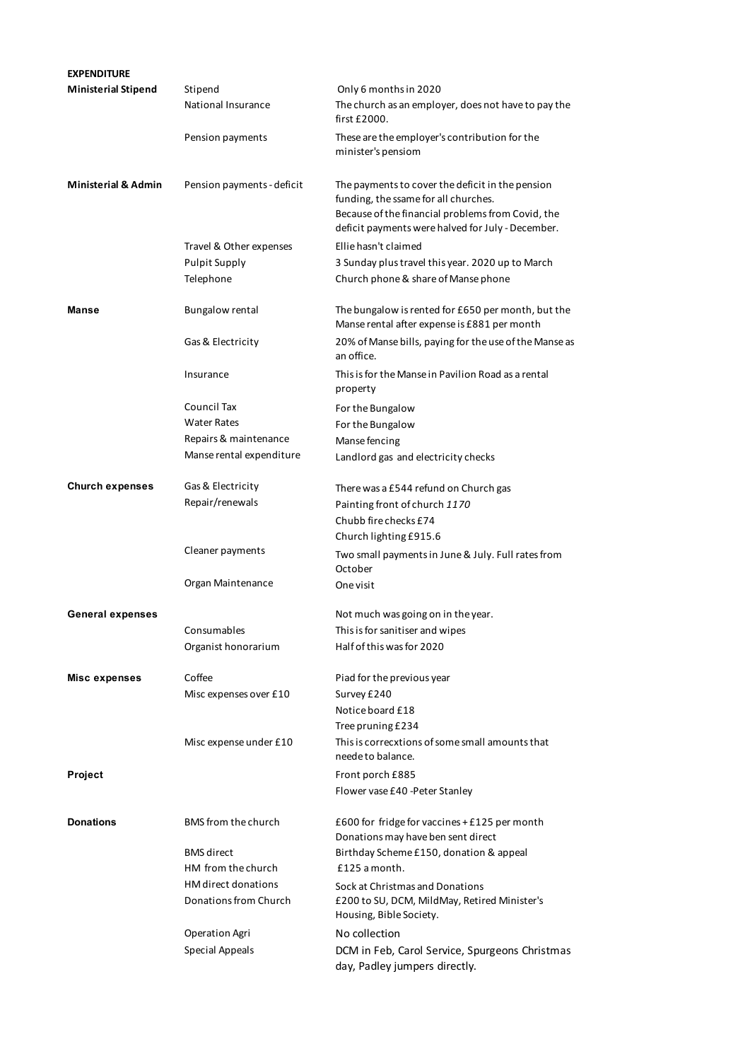| <b>EXPENDITURE</b>             |                            |                                                                                                                                                                                                    |
|--------------------------------|----------------------------|----------------------------------------------------------------------------------------------------------------------------------------------------------------------------------------------------|
| <b>Ministerial Stipend</b>     | Stipend                    | Only 6 months in 2020                                                                                                                                                                              |
|                                | National Insurance         | The church as an employer, does not have to pay the<br>first £2000.                                                                                                                                |
|                                | Pension payments           | These are the employer's contribution for the<br>minister's pensiom                                                                                                                                |
| <b>Ministerial &amp; Admin</b> | Pension payments - deficit | The payments to cover the deficit in the pension<br>funding, the ssame for all churches.<br>Because of the financial problems from Covid, the<br>deficit payments were halved for July - December. |
|                                | Travel & Other expenses    | Ellie hasn't claimed                                                                                                                                                                               |
|                                | <b>Pulpit Supply</b>       | 3 Sunday plus travel this year. 2020 up to March                                                                                                                                                   |
|                                | Telephone                  | Church phone & share of Manse phone                                                                                                                                                                |
| <b>Manse</b>                   | <b>Bungalow rental</b>     | The bungalow is rented for £650 per month, but the<br>Manse rental after expense is £881 per month                                                                                                 |
|                                | Gas & Electricity          | 20% of Manse bills, paying for the use of the Manse as<br>an office.                                                                                                                               |
|                                | Insurance                  | This is for the Manse in Pavilion Road as a rental<br>property                                                                                                                                     |
|                                | Council Tax                | For the Bungalow                                                                                                                                                                                   |
|                                | <b>Water Rates</b>         | For the Bungalow                                                                                                                                                                                   |
|                                | Repairs & maintenance      | Manse fencing                                                                                                                                                                                      |
|                                | Manse rental expenditure   | Landlord gas and electricity checks                                                                                                                                                                |
| <b>Church expenses</b>         | Gas & Electricity          | There was a £544 refund on Church gas                                                                                                                                                              |
|                                | Repair/renewals            | Painting front of church 1170                                                                                                                                                                      |
|                                |                            | Chubb fire checks £74                                                                                                                                                                              |
|                                |                            | Church lighting £915.6                                                                                                                                                                             |
|                                | Cleaner payments           | Two small payments in June & July. Full rates from<br>October                                                                                                                                      |
|                                | Organ Maintenance          | One visit                                                                                                                                                                                          |
| <b>General expenses</b>        |                            | Not much was going on in the year.                                                                                                                                                                 |
|                                | Consumables                | This is for sanitiser and wipes                                                                                                                                                                    |
|                                | Organist honorarium        | Half of this was for 2020                                                                                                                                                                          |
| Misc expenses                  | Coffee                     | Piad for the previous year                                                                                                                                                                         |
|                                | Misc expenses over £10     | Survey £240                                                                                                                                                                                        |
|                                |                            | Notice board £18                                                                                                                                                                                   |
|                                |                            | Tree pruning £234                                                                                                                                                                                  |
|                                | Misc expense under £10     | This is correcxtions of some small amounts that<br>neede to balance.                                                                                                                               |
| Project                        |                            | Front porch £885                                                                                                                                                                                   |
|                                |                            | Flower vase £40 - Peter Stanley                                                                                                                                                                    |
| <b>Donations</b>               | <b>BMS</b> from the church | £600 for fridge for vaccines $+$ £125 per month<br>Donations may have ben sent direct                                                                                                              |
|                                | <b>BMS</b> direct          | Birthday Scheme £150, donation & appeal                                                                                                                                                            |
|                                | HM from the church         | £125 a month.                                                                                                                                                                                      |
|                                | <b>HM</b> direct donations | Sock at Christmas and Donations                                                                                                                                                                    |
|                                | Donations from Church      | £200 to SU, DCM, MildMay, Retired Minister's<br>Housing, Bible Society.                                                                                                                            |
|                                | <b>Operation Agri</b>      | No collection                                                                                                                                                                                      |
|                                | Special Appeals            | DCM in Feb, Carol Service, Spurgeons Christmas<br>day, Padley jumpers directly.                                                                                                                    |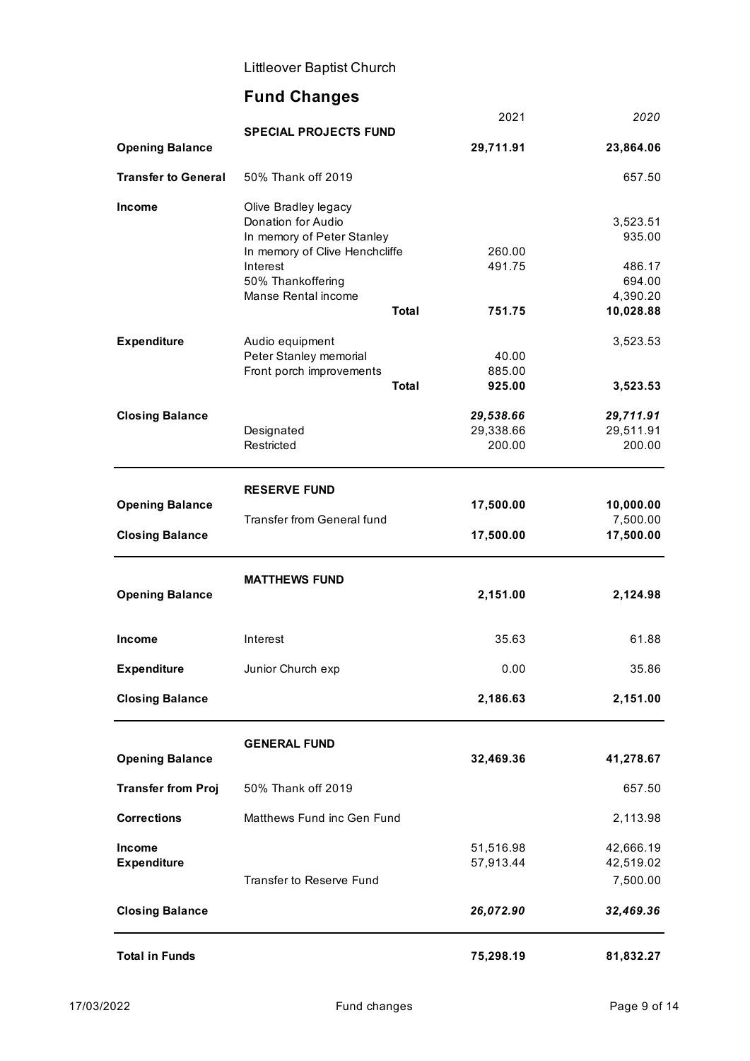# **Fund Changes**

|                            |                                   |              | 2021      | 2020             |
|----------------------------|-----------------------------------|--------------|-----------|------------------|
| <b>Opening Balance</b>     | <b>SPECIAL PROJECTS FUND</b>      |              | 29,711.91 | 23,864.06        |
| <b>Transfer to General</b> | 50% Thank off 2019                |              |           | 657.50           |
| <b>Income</b>              | Olive Bradley legacy              |              |           |                  |
|                            | Donation for Audio                |              |           | 3,523.51         |
|                            | In memory of Peter Stanley        |              |           | 935.00           |
|                            | In memory of Clive Henchcliffe    |              | 260.00    |                  |
|                            | Interest<br>50% Thankoffering     |              | 491.75    | 486.17<br>694.00 |
|                            | Manse Rental income               |              |           | 4,390.20         |
|                            |                                   | <b>Total</b> | 751.75    | 10,028.88        |
| <b>Expenditure</b>         | Audio equipment                   |              |           | 3,523.53         |
|                            | Peter Stanley memorial            |              | 40.00     |                  |
|                            | Front porch improvements          |              | 885.00    |                  |
|                            |                                   | <b>Total</b> | 925.00    | 3,523.53         |
| <b>Closing Balance</b>     |                                   |              | 29,538.66 | 29,711.91        |
|                            | Designated                        |              | 29,338.66 | 29,511.91        |
|                            | Restricted                        |              | 200.00    | 200.00           |
|                            |                                   |              |           |                  |
| <b>Opening Balance</b>     | <b>RESERVE FUND</b>               |              | 17,500.00 | 10,000.00        |
|                            | <b>Transfer from General fund</b> |              |           | 7,500.00         |
| <b>Closing Balance</b>     |                                   |              | 17,500.00 | 17,500.00        |
|                            | <b>MATTHEWS FUND</b>              |              |           |                  |
| <b>Opening Balance</b>     |                                   |              | 2,151.00  | 2,124.98         |
|                            |                                   |              |           |                  |
| Income                     | Interest                          |              | 35.63     | 61.88            |
| <b>Expenditure</b>         | Junior Church exp                 |              | 0.00      | 35.86            |
| <b>Closing Balance</b>     |                                   |              | 2,186.63  | 2,151.00         |
|                            | <b>GENERAL FUND</b>               |              |           |                  |
| <b>Opening Balance</b>     |                                   |              | 32,469.36 | 41,278.67        |
| <b>Transfer from Proj</b>  | 50% Thank off 2019                |              |           | 657.50           |
| <b>Corrections</b>         | Matthews Fund inc Gen Fund        |              |           | 2,113.98         |
| <b>Income</b>              |                                   |              | 51,516.98 | 42,666.19        |
| <b>Expenditure</b>         |                                   |              | 57,913.44 | 42,519.02        |
|                            | <b>Transfer to Reserve Fund</b>   |              |           | 7,500.00         |
| <b>Closing Balance</b>     |                                   |              | 26,072.90 | 32,469.36        |
| <b>Total in Funds</b>      |                                   |              | 75,298.19 | 81,832.27        |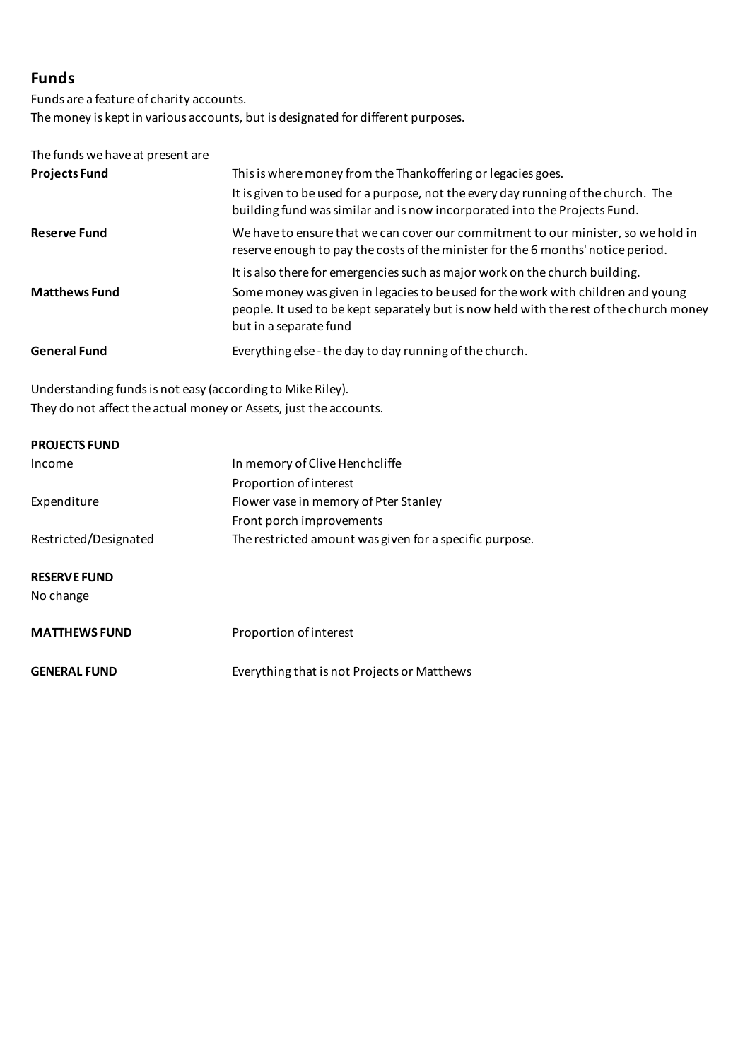## **Funds**

Funds are a feature of charity accounts. The money is kept in various accounts, but is designated for different purposes.

## The funds we have at present are

| <b>Projects Fund</b> | This is where money from the Thankoffering or legacies goes.                                                                                                                                          |
|----------------------|-------------------------------------------------------------------------------------------------------------------------------------------------------------------------------------------------------|
|                      | It is given to be used for a purpose, not the every day running of the church. The<br>building fund was similar and is now incorporated into the Projects Fund.                                       |
| <b>Reserve Fund</b>  | We have to ensure that we can cover our commitment to our minister, so we hold in<br>reserve enough to pay the costs of the minister for the 6 months' notice period.                                 |
|                      | It is also there for emergencies such as major work on the church building.                                                                                                                           |
| <b>Matthews Fund</b> | Some money was given in legacies to be used for the work with children and young<br>people. It used to be kept separately but is now held with the rest of the church money<br>but in a separate fund |
| <b>General Fund</b>  | Everything else - the day to day running of the church.                                                                                                                                               |

Understanding funds is not easy (according to Mike Riley). They do not affect the actual money or Assets, just the accounts.

| <b>PROJECTS FUND</b>             |                                                         |
|----------------------------------|---------------------------------------------------------|
| Income                           | In memory of Clive Henchcliffe                          |
|                                  | Proportion of interest                                  |
| Expenditure                      | Flower vase in memory of Pter Stanley                   |
|                                  | Front porch improvements                                |
| Restricted/Designated            | The restricted amount was given for a specific purpose. |
| <b>RESERVE FUND</b><br>No change |                                                         |
| <b>MATTHEWS FUND</b>             | Proportion of interest                                  |
| <b>GENERAL FUND</b>              | Everything that is not Projects or Matthews             |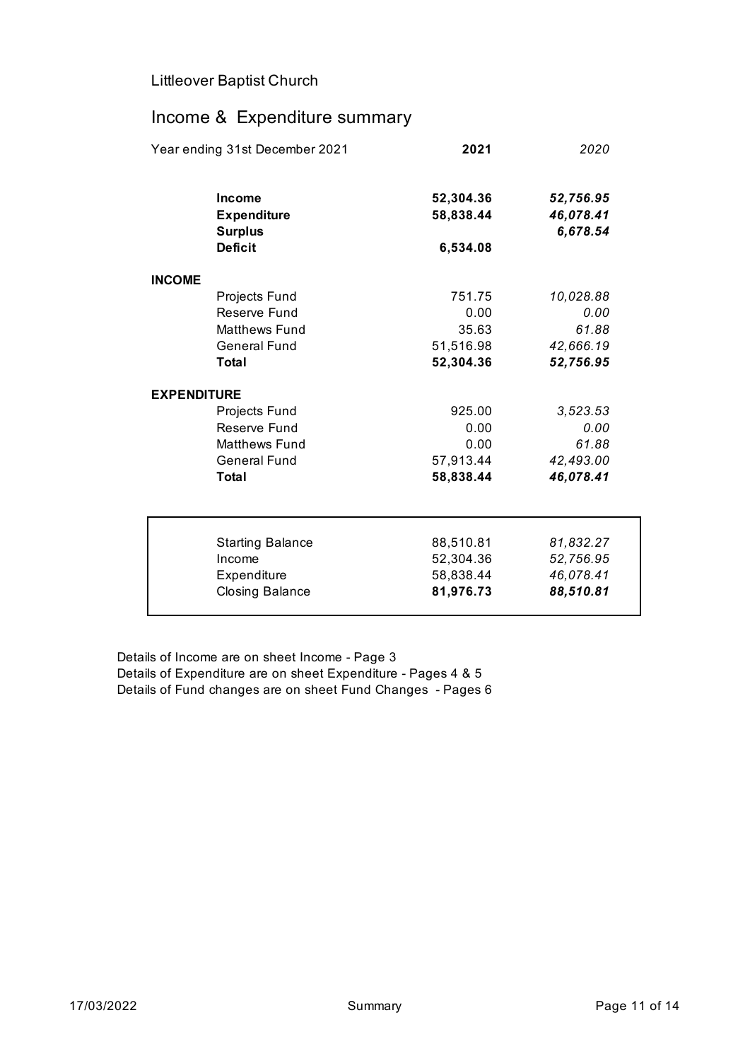# Income & Expenditure summary

| Year ending 31st December 2021                                                                                               |  | 2021                                                        | 2020                                                             |
|------------------------------------------------------------------------------------------------------------------------------|--|-------------------------------------------------------------|------------------------------------------------------------------|
| Income<br><b>Expenditure</b><br><b>Surplus</b>                                                                               |  | 52,304.36<br>58,838.44                                      | 52,756.95<br>46,078.41<br>6,678.54                               |
| <b>Deficit</b>                                                                                                               |  | 6,534.08                                                    |                                                                  |
| <b>INCOME</b>                                                                                                                |  |                                                             |                                                                  |
| Projects Fund<br>Reserve Fund<br><b>Matthews Fund</b><br><b>General Fund</b><br>Total<br><b>EXPENDITURE</b><br>Projects Fund |  | 751.75<br>0.00<br>35.63<br>51,516.98<br>52,304.36<br>925.00 | 10,028.88<br>0.00<br>61.88<br>42,666.19<br>52,756.95<br>3,523.53 |
| Reserve Fund<br><b>Matthews Fund</b><br><b>General Fund</b><br>Total                                                         |  | 0.00<br>0.00<br>57,913.44<br>58,838.44                      | 0.00<br>61.88<br>42,493.00<br>46,078.41                          |
| <b>Starting Balance</b><br>Income<br>Expenditure<br><b>Closing Balance</b>                                                   |  | 88,510.81<br>52,304.36<br>58,838.44<br>81,976.73            | 81,832.27<br>52,756.95<br>46,078.41<br>88,510.81                 |

Details of Income are on sheet Income - Page 3 Details of Expenditure are on sheet Expenditure - Pages 4 & 5 Details of Fund changes are on sheet Fund Changes - Pages 6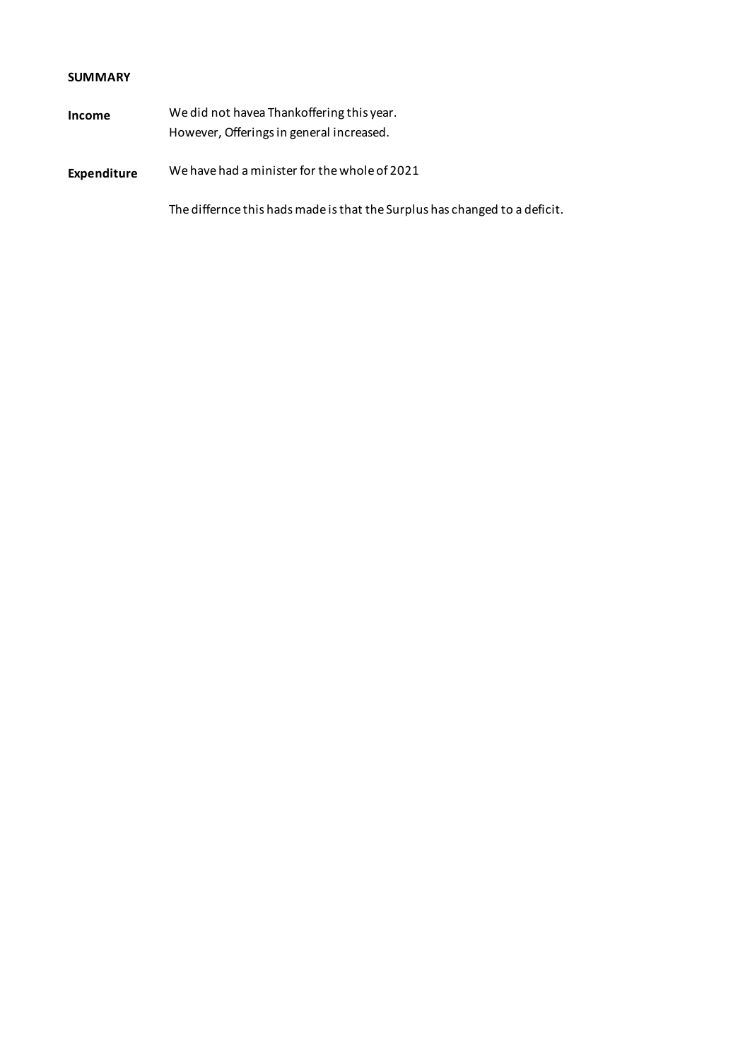### **SUMMARY**

| Income | We did not have a Thank offering this year. |
|--------|---------------------------------------------|
|        | However, Offerings in general increased.    |
|        |                                             |

## **Expenditure** We have had a minister for the whole of 2021

The differnce this hads made is that the Surplus has changed to a deficit.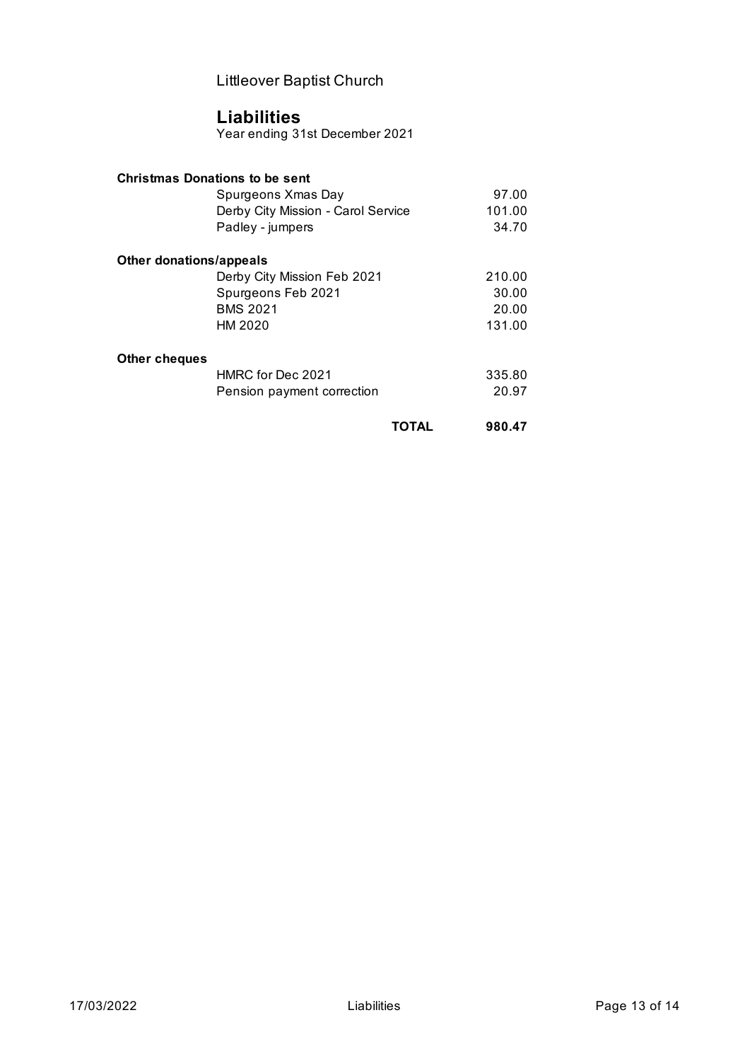## **Liabilities**

Year ending 31st December 2021

| <b>Christmas Donations to be sent</b> |                                    |       |        |
|---------------------------------------|------------------------------------|-------|--------|
|                                       | Spurgeons Xmas Day                 |       | 97.00  |
|                                       | Derby City Mission - Carol Service |       | 101.00 |
|                                       | Padley - jumpers                   |       | 34.70  |
| Other donations/appeals               |                                    |       |        |
|                                       | Derby City Mission Feb 2021        |       | 210.00 |
|                                       | Spurgeons Feb 2021                 |       | 30.00  |
|                                       | <b>BMS 2021</b>                    |       | 20.00  |
|                                       | HM 2020                            |       | 131.00 |
| Other cheques                         |                                    |       |        |
|                                       | HMRC for Dec 2021                  |       | 335.80 |
|                                       | Pension payment correction         |       | 20.97  |
|                                       |                                    | TOTAL | 980.47 |